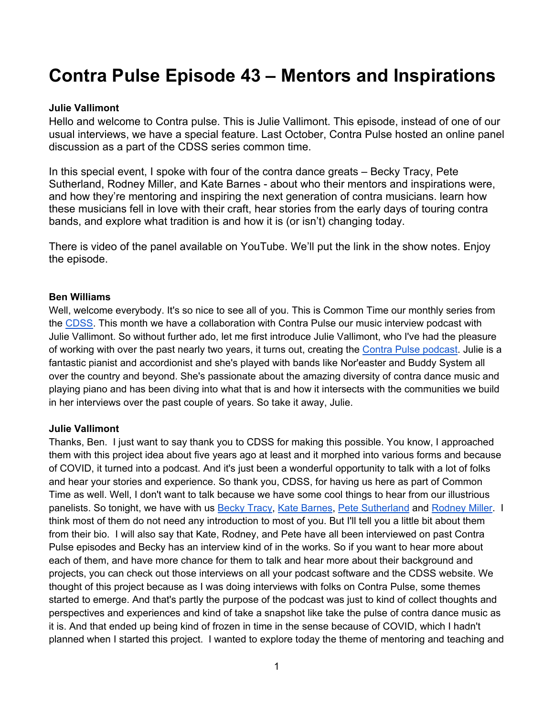# **Contra Pulse Episode 43 – Mentors and Inspirations**

#### **Julie Vallimont**

Hello and welcome to Contra pulse. This is Julie Vallimont. This episode, instead of one of our usual interviews, we have a special feature. Last October, Contra Pulse hosted an online panel discussion as a part of the CDSS series common time.

In this special event, I spoke with four of the contra dance greats – Becky Tracy, Pete Sutherland, Rodney Miller, and Kate Barnes - about who their mentors and inspirations were, and how they're mentoring and inspiring the next generation of contra musicians. learn how these musicians fell in love with their craft, hear stories from the early days of touring contra bands, and explore what tradition is and how it is (or isn't) changing today.

There is video of the panel available on YouTube. We'll put the link in the show notes. Enjoy the episode.

#### **Ben Williams**

Well, welcome everybody. It's so nice to see all of you. This is Common Time our monthly series from the CDSS. This month we have a collaboration with Contra Pulse our music interview podcast with Julie Vallimont. So without further ado, let me first introduce Julie Vallimont, who I've had the pleasure of working with over the past nearly two years, it turns out, creating the Contra Pulse podcast. Julie is a fantastic pianist and accordionist and she's played with bands like Nor'easter and Buddy System all over the country and beyond. She's passionate about the amazing diversity of contra dance music and playing piano and has been diving into what that is and how it intersects with the communities we build in her interviews over the past couple of years. So take it away, Julie.

#### **Julie Vallimont**

Thanks, Ben. I just want to say thank you to CDSS for making this possible. You know, I approached them with this project idea about five years ago at least and it morphed into various forms and because of COVID, it turned into a podcast. And it's just been a wonderful opportunity to talk with a lot of folks and hear your stories and experience. So thank you, CDSS, for having us here as part of Common Time as well. Well, I don't want to talk because we have some cool things to hear from our illustrious panelists. So tonight, we have with us Becky Tracy, Kate Barnes, Pete Sutherland and Rodney Miller. I think most of them do not need any introduction to most of you. But I'll tell you a little bit about them from their bio. I will also say that Kate, Rodney, and Pete have all been interviewed on past Contra Pulse episodes and Becky has an interview kind of in the works. So if you want to hear more about each of them, and have more chance for them to talk and hear more about their background and projects, you can check out those interviews on all your podcast software and the CDSS website. We thought of this project because as I was doing interviews with folks on Contra Pulse, some themes started to emerge. And that's partly the purpose of the podcast was just to kind of collect thoughts and perspectives and experiences and kind of take a snapshot like take the pulse of contra dance music as it is. And that ended up being kind of frozen in time in the sense because of COVID, which I hadn't planned when I started this project. I wanted to explore today the theme of mentoring and teaching and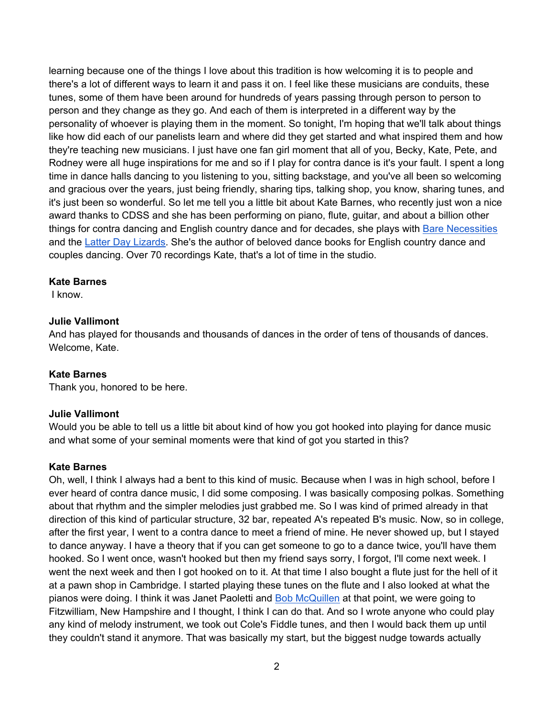learning because one of the things I love about this tradition is how welcoming it is to people and there's a lot of different ways to learn it and pass it on. I feel like these musicians are conduits, these tunes, some of them have been around for hundreds of years passing through person to person to person and they change as they go. And each of them is interpreted in a different way by the personality of whoever is playing them in the moment. So tonight, I'm hoping that we'll talk about things like how did each of our panelists learn and where did they get started and what inspired them and how they're teaching new musicians. I just have one fan girl moment that all of you, Becky, Kate, Pete, and Rodney were all huge inspirations for me and so if I play for contra dance is it's your fault. I spent a long time in dance halls dancing to you listening to you, sitting backstage, and you've all been so welcoming and gracious over the years, just being friendly, sharing tips, talking shop, you know, sharing tunes, and it's just been so wonderful. So let me tell you a little bit about Kate Barnes, who recently just won a nice award thanks to CDSS and she has been performing on piano, flute, guitar, and about a billion other things for contra dancing and English country dance and for decades, she plays with Bare Necessities and the Latter Day Lizards. She's the author of beloved dance books for English country dance and couples dancing. Over 70 recordings Kate, that's a lot of time in the studio.

#### **Kate Barnes**

I know.

## **Julie Vallimont**

And has played for thousands and thousands of dances in the order of tens of thousands of dances. Welcome, Kate.

## **Kate Barnes**

Thank you, honored to be here.

## **Julie Vallimont**

Would you be able to tell us a little bit about kind of how you got hooked into playing for dance music and what some of your seminal moments were that kind of got you started in this?

#### **Kate Barnes**

Oh, well, I think I always had a bent to this kind of music. Because when I was in high school, before I ever heard of contra dance music, I did some composing. I was basically composing polkas. Something about that rhythm and the simpler melodies just grabbed me. So I was kind of primed already in that direction of this kind of particular structure, 32 bar, repeated A's repeated B's music. Now, so in college, after the first year, I went to a contra dance to meet a friend of mine. He never showed up, but I stayed to dance anyway. I have a theory that if you can get someone to go to a dance twice, you'll have them hooked. So I went once, wasn't hooked but then my friend says sorry, I forgot, I'll come next week. I went the next week and then I got hooked on to it. At that time I also bought a flute just for the hell of it at a pawn shop in Cambridge. I started playing these tunes on the flute and I also looked at what the pianos were doing. I think it was Janet Paoletti and Bob McQuillen at that point, we were going to Fitzwilliam, New Hampshire and I thought, I think I can do that. And so I wrote anyone who could play any kind of melody instrument, we took out Cole's Fiddle tunes, and then I would back them up until they couldn't stand it anymore. That was basically my start, but the biggest nudge towards actually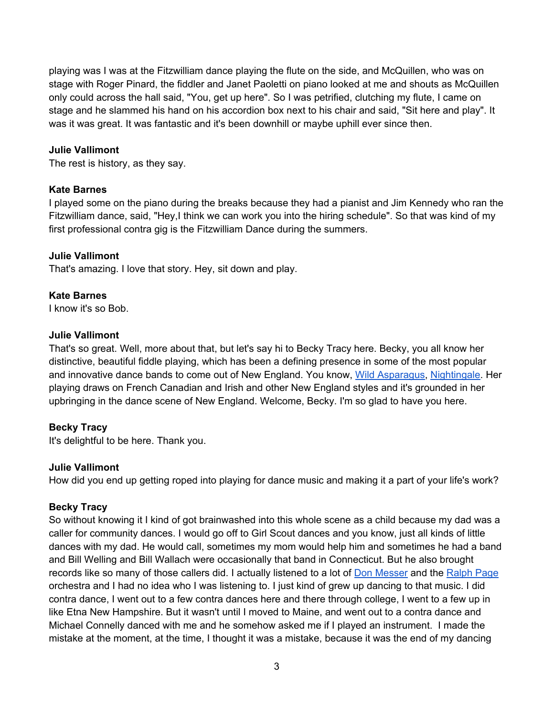playing was I was at the Fitzwilliam dance playing the flute on the side, and McQuillen, who was on stage with Roger Pinard, the fiddler and Janet Paoletti on piano looked at me and shouts as McQuillen only could across the hall said, "You, get up here". So I was petrified, clutching my flute, I came on stage and he slammed his hand on his accordion box next to his chair and said, "Sit here and play". It was it was great. It was fantastic and it's been downhill or maybe uphill ever since then.

# **Julie Vallimont**

The rest is history, as they say.

## **Kate Barnes**

I played some on the piano during the breaks because they had a pianist and Jim Kennedy who ran the Fitzwilliam dance, said, "Hey,I think we can work you into the hiring schedule". So that was kind of my first professional contra gig is the Fitzwilliam Dance during the summers.

#### **Julie Vallimont**

That's amazing. I love that story. Hey, sit down and play.

#### **Kate Barnes**

I know it's so Bob.

#### **Julie Vallimont**

That's so great. Well, more about that, but let's say hi to Becky Tracy here. Becky, you all know her distinctive, beautiful fiddle playing, which has been a defining presence in some of the most popular and innovative dance bands to come out of New England. You know, Wild Asparagus, Nightingale. Her playing draws on French Canadian and Irish and other New England styles and it's grounded in her upbringing in the dance scene of New England. Welcome, Becky. I'm so glad to have you here.

## **Becky Tracy**

It's delightful to be here. Thank you.

#### **Julie Vallimont**

How did you end up getting roped into playing for dance music and making it a part of your life's work?

## **Becky Tracy**

So without knowing it I kind of got brainwashed into this whole scene as a child because my dad was a caller for community dances. I would go off to Girl Scout dances and you know, just all kinds of little dances with my dad. He would call, sometimes my mom would help him and sometimes he had a band and Bill Welling and Bill Wallach were occasionally that band in Connecticut. But he also brought records like so many of those callers did. I actually listened to a lot of Don Messer and the Ralph Page orchestra and I had no idea who I was listening to. I just kind of grew up dancing to that music. I did contra dance, I went out to a few contra dances here and there through college, I went to a few up in like Etna New Hampshire. But it wasn't until I moved to Maine, and went out to a contra dance and Michael Connelly danced with me and he somehow asked me if I played an instrument. I made the mistake at the moment, at the time, I thought it was a mistake, because it was the end of my dancing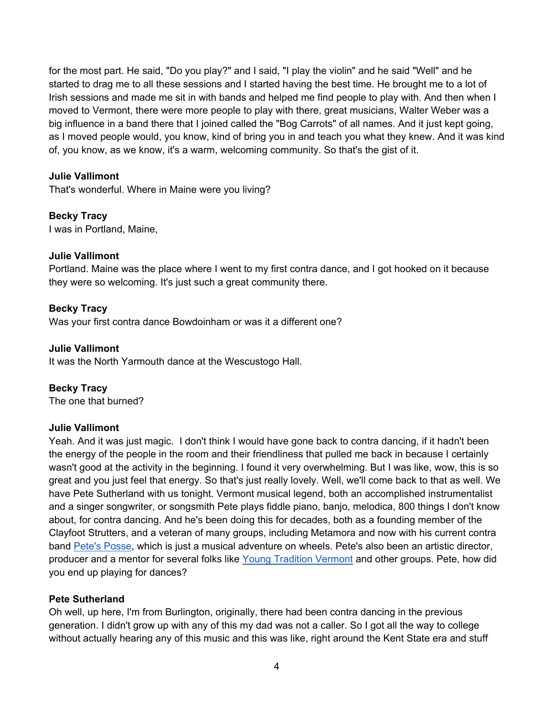for the most part. He said, "Do you play?" and I said, "I play the violin" and he said "Well" and he started to drag me to all these sessions and I started having the best time. He brought me to a lot of Irish sessions and made me sit in with bands and helped me find people to play with. And then when I moved to Vermont, there were more people to play with there, great musicians, Walter Weber was a big influence in a band there that I joined called the "Bog Carrots" of all names. And it just kept going, as I moved people would, you know, kind of bring you in and teach you what they knew. And it was kind of, you know, as we know, it's a warm, welcoming community. So that's the gist of it.

# **Julie Vallimont**

That's wonderful. Where in Maine were you living?

# **Becky Tracy**

I was in Portland, Maine,

# **Julie Vallimont**

Portland. Maine was the place where I went to my first contra dance, and I got hooked on it because they were so welcoming. It's just such a great community there.

# **Becky Tracy**

Was your first contra dance Bowdoinham or was it a different one?

## **Julie Vallimont**

It was the North Yarmouth dance at the Wescustogo Hall.

## **Becky Tracy**

The one that burned?

## **Julie Vallimont**

Yeah. And it was just magic. I don't think I would have gone back to contra dancing, if it hadn't been the energy of the people in the room and their friendliness that pulled me back in because I certainly wasn't good at the activity in the beginning. I found it very overwhelming. But I was like, wow, this is so great and you just feel that energy. So that's just really lovely. Well, we'll come back to that as well. We have Pete Sutherland with us tonight. Vermont musical legend, both an accomplished instrumentalist and a singer songwriter, or songsmith Pete plays fiddle piano, banjo, melodica, 800 things I don't know about, for contra dancing. And he's been doing this for decades, both as a founding member of the Clayfoot Strutters, and a veteran of many groups, including Metamora and now with his current contra band Pete's Posse, which is just a musical adventure on wheels. Pete's also been an artistic director, producer and a mentor for several folks like Young Tradition Vermont and other groups. Pete, how did you end up playing for dances?

## **Pete Sutherland**

Oh well, up here, I'm from Burlington, originally, there had been contra dancing in the previous generation. I didn't grow up with any of this my dad was not a caller. So I got all the way to college without actually hearing any of this music and this was like, right around the Kent State era and stuff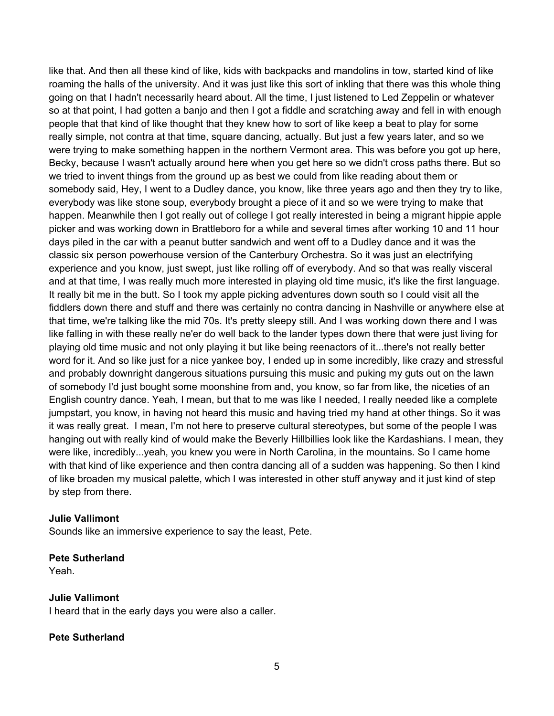like that. And then all these kind of like, kids with backpacks and mandolins in tow, started kind of like roaming the halls of the university. And it was just like this sort of inkling that there was this whole thing going on that I hadn't necessarily heard about. All the time, I just listened to Led Zeppelin or whatever so at that point, I had gotten a banjo and then I got a fiddle and scratching away and fell in with enough people that that kind of like thought that they knew how to sort of like keep a beat to play for some really simple, not contra at that time, square dancing, actually. But just a few years later, and so we were trying to make something happen in the northern Vermont area. This was before you got up here, Becky, because I wasn't actually around here when you get here so we didn't cross paths there. But so we tried to invent things from the ground up as best we could from like reading about them or somebody said, Hey, I went to a Dudley dance, you know, like three years ago and then they try to like, everybody was like stone soup, everybody brought a piece of it and so we were trying to make that happen. Meanwhile then I got really out of college I got really interested in being a migrant hippie apple picker and was working down in Brattleboro for a while and several times after working 10 and 11 hour days piled in the car with a peanut butter sandwich and went off to a Dudley dance and it was the classic six person powerhouse version of the Canterbury Orchestra. So it was just an electrifying experience and you know, just swept, just like rolling off of everybody. And so that was really visceral and at that time, I was really much more interested in playing old time music, it's like the first language. It really bit me in the butt. So I took my apple picking adventures down south so I could visit all the fiddlers down there and stuff and there was certainly no contra dancing in Nashville or anywhere else at that time, we're talking like the mid 70s. It's pretty sleepy still. And I was working down there and I was like falling in with these really ne'er do well back to the lander types down there that were just living for playing old time music and not only playing it but like being reenactors of it...there's not really better word for it. And so like just for a nice yankee boy, I ended up in some incredibly, like crazy and stressful and probably downright dangerous situations pursuing this music and puking my guts out on the lawn of somebody I'd just bought some moonshine from and, you know, so far from like, the niceties of an English country dance. Yeah, I mean, but that to me was like I needed, I really needed like a complete jumpstart, you know, in having not heard this music and having tried my hand at other things. So it was it was really great. I mean, I'm not here to preserve cultural stereotypes, but some of the people I was hanging out with really kind of would make the Beverly Hillbillies look like the Kardashians. I mean, they were like, incredibly...yeah, you knew you were in North Carolina, in the mountains. So I came home with that kind of like experience and then contra dancing all of a sudden was happening. So then I kind of like broaden my musical palette, which I was interested in other stuff anyway and it just kind of step by step from there.

#### **Julie Vallimont**

Sounds like an immersive experience to say the least, Pete.

#### **Pete Sutherland**

Yeah.

#### **Julie Vallimont**

I heard that in the early days you were also a caller.

#### **Pete Sutherland**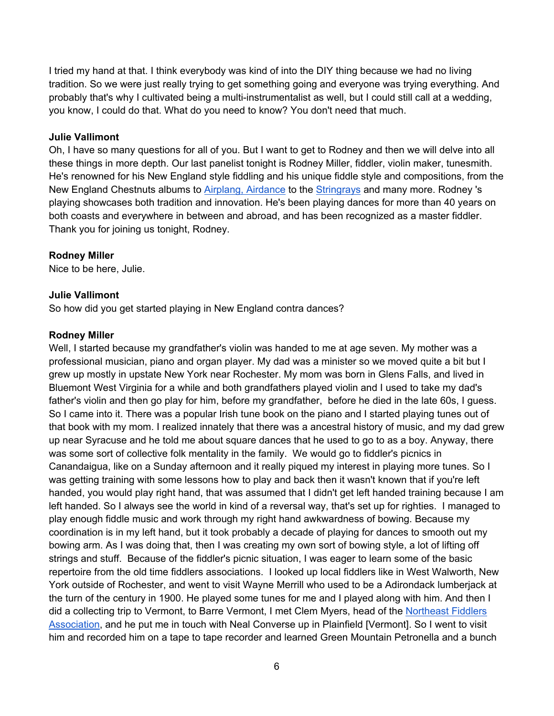I tried my hand at that. I think everybody was kind of into the DIY thing because we had no living tradition. So we were just really trying to get something going and everyone was trying everything. And probably that's why I cultivated being a multi-instrumentalist as well, but I could still call at a wedding, you know, I could do that. What do you need to know? You don't need that much.

#### **Julie Vallimont**

Oh, I have so many questions for all of you. But I want to get to Rodney and then we will delve into all these things in more depth. Our last panelist tonight is Rodney Miller, fiddler, violin maker, tunesmith. He's renowned for his New England style fiddling and his unique fiddle style and compositions, from the New England Chestnuts albums to Airplang, Airdance to the Stringrays and many more. Rodney 's playing showcases both tradition and innovation. He's been playing dances for more than 40 years on both coasts and everywhere in between and abroad, and has been recognized as a master fiddler. Thank you for joining us tonight, Rodney.

#### **Rodney Miller**

Nice to be here, Julie.

#### **Julie Vallimont**

So how did you get started playing in New England contra dances?

#### **Rodney Miller**

Well, I started because my grandfather's violin was handed to me at age seven. My mother was a professional musician, piano and organ player. My dad was a minister so we moved quite a bit but I grew up mostly in upstate New York near Rochester. My mom was born in Glens Falls, and lived in Bluemont West Virginia for a while and both grandfathers played violin and I used to take my dad's father's violin and then go play for him, before my grandfather, before he died in the late 60s, I guess. So I came into it. There was a popular Irish tune book on the piano and I started playing tunes out of that book with my mom. I realized innately that there was a ancestral history of music, and my dad grew up near Syracuse and he told me about square dances that he used to go to as a boy. Anyway, there was some sort of collective folk mentality in the family. We would go to fiddler's picnics in Canandaigua, like on a Sunday afternoon and it really piqued my interest in playing more tunes. So I was getting training with some lessons how to play and back then it wasn't known that if you're left handed, you would play right hand, that was assumed that I didn't get left handed training because I am left handed. So I always see the world in kind of a reversal way, that's set up for righties. I managed to play enough fiddle music and work through my right hand awkwardness of bowing. Because my coordination is in my left hand, but it took probably a decade of playing for dances to smooth out my bowing arm. As I was doing that, then I was creating my own sort of bowing style, a lot of lifting off strings and stuff. Because of the fiddler's picnic situation, I was eager to learn some of the basic repertoire from the old time fiddlers associations. I looked up local fiddlers like in West Walworth, New York outside of Rochester, and went to visit Wayne Merrill who used to be a Adirondack lumberjack at the turn of the century in 1900. He played some tunes for me and I played along with him. And then I did a collecting trip to Vermont, to Barre Vermont, I met Clem Myers, head of the Northeast Fiddlers Association, and he put me in touch with Neal Converse up in Plainfield [Vermont]. So I went to visit him and recorded him on a tape to tape recorder and learned Green Mountain Petronella and a bunch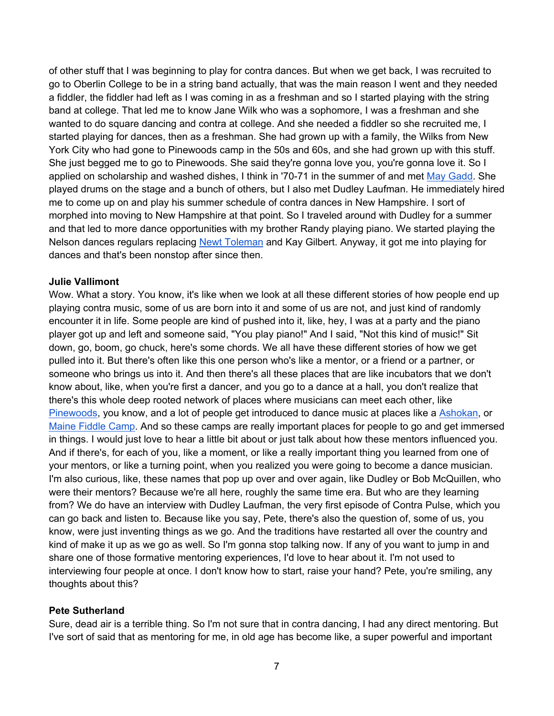of other stuff that I was beginning to play for contra dances. But when we get back, I was recruited to go to Oberlin College to be in a string band actually, that was the main reason I went and they needed a fiddler, the fiddler had left as I was coming in as a freshman and so I started playing with the string band at college. That led me to know Jane Wilk who was a sophomore, I was a freshman and she wanted to do square dancing and contra at college. And she needed a fiddler so she recruited me, I started playing for dances, then as a freshman. She had grown up with a family, the Wilks from New York City who had gone to Pinewoods camp in the 50s and 60s, and she had grown up with this stuff. She just begged me to go to Pinewoods. She said they're gonna love you, you're gonna love it. So I applied on scholarship and washed dishes, I think in '70-71 in the summer of and met May Gadd. She played drums on the stage and a bunch of others, but I also met Dudley Laufman. He immediately hired me to come up on and play his summer schedule of contra dances in New Hampshire. I sort of morphed into moving to New Hampshire at that point. So I traveled around with Dudley for a summer and that led to more dance opportunities with my brother Randy playing piano. We started playing the Nelson dances regulars replacing Newt Toleman and Kay Gilbert. Anyway, it got me into playing for dances and that's been nonstop after since then.

## **Julie Vallimont**

Wow. What a story. You know, it's like when we look at all these different stories of how people end up playing contra music, some of us are born into it and some of us are not, and just kind of randomly encounter it in life. Some people are kind of pushed into it, like, hey, I was at a party and the piano player got up and left and someone said, "You play piano!" And I said, "Not this kind of music!" Sit down, go, boom, go chuck, here's some chords. We all have these different stories of how we get pulled into it. But there's often like this one person who's like a mentor, or a friend or a partner, or someone who brings us into it. And then there's all these places that are like incubators that we don't know about, like, when you're first a dancer, and you go to a dance at a hall, you don't realize that there's this whole deep rooted network of places where musicians can meet each other, like Pinewoods, you know, and a lot of people get introduced to dance music at places like a Ashokan, or Maine Fiddle Camp. And so these camps are really important places for people to go and get immersed in things. I would just love to hear a little bit about or just talk about how these mentors influenced you. And if there's, for each of you, like a moment, or like a really important thing you learned from one of your mentors, or like a turning point, when you realized you were going to become a dance musician. I'm also curious, like, these names that pop up over and over again, like Dudley or Bob McQuillen, who were their mentors? Because we're all here, roughly the same time era. But who are they learning from? We do have an interview with Dudley Laufman, the very first episode of Contra Pulse, which you can go back and listen to. Because like you say, Pete, there's also the question of, some of us, you know, were just inventing things as we go. And the traditions have restarted all over the country and kind of make it up as we go as well. So I'm gonna stop talking now. If any of you want to jump in and share one of those formative mentoring experiences, I'd love to hear about it. I'm not used to interviewing four people at once. I don't know how to start, raise your hand? Pete, you're smiling, any thoughts about this?

## **Pete Sutherland**

Sure, dead air is a terrible thing. So I'm not sure that in contra dancing, I had any direct mentoring. But I've sort of said that as mentoring for me, in old age has become like, a super powerful and important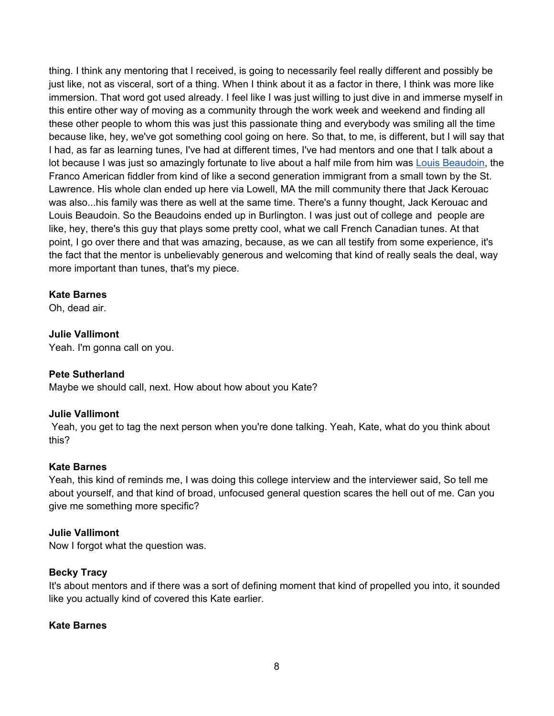thing. I think any mentoring that I received, is going to necessarily feel really different and possibly be just like, not as visceral, sort of a thing. When I think about it as a factor in there, I think was more like immersion. That word got used already. I feel like I was just willing to just dive in and immerse myself in this entire other way of moving as a community through the work week and weekend and finding all these other people to whom this was just this passionate thing and everybody was smiling all the time because like, hey, we've got something cool going on here. So that, to me, is different, but I will say that I had, as far as learning tunes, I've had at different times, I've had mentors and one that I talk about a lot because I was just so amazingly fortunate to live about a half mile from him was Louis Beaudoin, the Franco American fiddler from kind of like a second generation immigrant from a small town by the St. Lawrence. His whole clan ended up here via Lowell, MA the mill community there that Jack Kerouac was also...his family was there as well at the same time. There's a funny thought, Jack Kerouac and Louis Beaudoin. So the Beaudoins ended up in Burlington. I was just out of college and people are like, hey, there's this guy that plays some pretty cool, what we call French Canadian tunes. At that point, I go over there and that was amazing, because, as we can all testify from some experience, it's the fact that the mentor is unbelievably generous and welcoming that kind of really seals the deal, way more important than tunes, that's my piece.

## **Kate Barnes**

Oh, dead air.

## **Julie Vallimont**

Yeah. I'm gonna call on you.

## **Pete Sutherland**

Maybe we should call, next. How about how about you Kate?

## **Julie Vallimont**

 Yeah, you get to tag the next person when you're done talking. Yeah, Kate, what do you think about this?

#### **Kate Barnes**

Yeah, this kind of reminds me, I was doing this college interview and the interviewer said, So tell me about yourself, and that kind of broad, unfocused general question scares the hell out of me. Can you give me something more specific?

#### **Julie Vallimont**

Now I forgot what the question was.

## **Becky Tracy**

It's about mentors and if there was a sort of defining moment that kind of propelled you into, it sounded like you actually kind of covered this Kate earlier.

#### **Kate Barnes**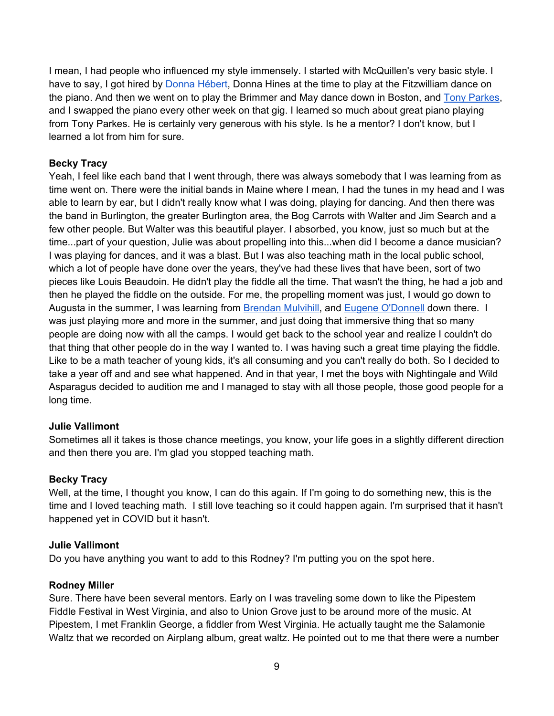I mean, I had people who influenced my style immensely. I started with McQuillen's very basic style. I have to say, I got hired by Donna Hébert, Donna Hines at the time to play at the Fitzwilliam dance on the piano. And then we went on to play the Brimmer and May dance down in Boston, and Tony Parkes, and I swapped the piano every other week on that gig. I learned so much about great piano playing from Tony Parkes. He is certainly very generous with his style. Is he a mentor? I don't know, but I learned a lot from him for sure.

# **Becky Tracy**

Yeah, I feel like each band that I went through, there was always somebody that I was learning from as time went on. There were the initial bands in Maine where I mean, I had the tunes in my head and I was able to learn by ear, but I didn't really know what I was doing, playing for dancing. And then there was the band in Burlington, the greater Burlington area, the Bog Carrots with Walter and Jim Search and a few other people. But Walter was this beautiful player. I absorbed, you know, just so much but at the time...part of your question, Julie was about propelling into this...when did I become a dance musician? I was playing for dances, and it was a blast. But I was also teaching math in the local public school, which a lot of people have done over the years, they've had these lives that have been, sort of two pieces like Louis Beaudoin. He didn't play the fiddle all the time. That wasn't the thing, he had a job and then he played the fiddle on the outside. For me, the propelling moment was just, I would go down to Augusta in the summer, I was learning from **Brendan Mulvihill**, and Eugene O'Donnell down there. I was just playing more and more in the summer, and just doing that immersive thing that so many people are doing now with all the camps. I would get back to the school year and realize I couldn't do that thing that other people do in the way I wanted to. I was having such a great time playing the fiddle. Like to be a math teacher of young kids, it's all consuming and you can't really do both. So I decided to take a year off and and see what happened. And in that year, I met the boys with Nightingale and Wild Asparagus decided to audition me and I managed to stay with all those people, those good people for a long time.

## **Julie Vallimont**

Sometimes all it takes is those chance meetings, you know, your life goes in a slightly different direction and then there you are. I'm glad you stopped teaching math.

## **Becky Tracy**

Well, at the time, I thought you know, I can do this again. If I'm going to do something new, this is the time and I loved teaching math. I still love teaching so it could happen again. I'm surprised that it hasn't happened yet in COVID but it hasn't.

#### **Julie Vallimont**

Do you have anything you want to add to this Rodney? I'm putting you on the spot here.

#### **Rodney Miller**

Sure. There have been several mentors. Early on I was traveling some down to like the Pipestem Fiddle Festival in West Virginia, and also to Union Grove just to be around more of the music. At Pipestem, I met Franklin George, a fiddler from West Virginia. He actually taught me the Salamonie Waltz that we recorded on Airplang album, great waltz. He pointed out to me that there were a number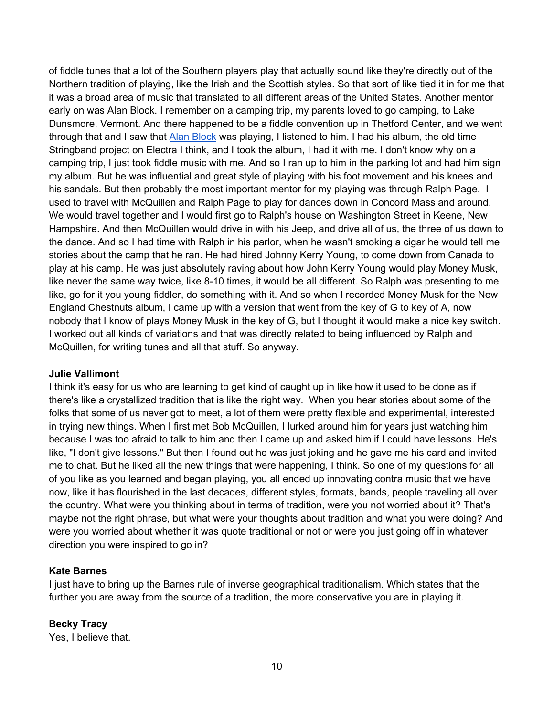of fiddle tunes that a lot of the Southern players play that actually sound like they're directly out of the Northern tradition of playing, like the Irish and the Scottish styles. So that sort of like tied it in for me that it was a broad area of music that translated to all different areas of the United States. Another mentor early on was Alan Block. I remember on a camping trip, my parents loved to go camping, to Lake Dunsmore, Vermont. And there happened to be a fiddle convention up in Thetford Center, and we went through that and I saw that Alan Block was playing, I listened to him. I had his album, the old time Stringband project on Electra I think, and I took the album, I had it with me. I don't know why on a camping trip, I just took fiddle music with me. And so I ran up to him in the parking lot and had him sign my album. But he was influential and great style of playing with his foot movement and his knees and his sandals. But then probably the most important mentor for my playing was through Ralph Page. I used to travel with McQuillen and Ralph Page to play for dances down in Concord Mass and around. We would travel together and I would first go to Ralph's house on Washington Street in Keene, New Hampshire. And then McQuillen would drive in with his Jeep, and drive all of us, the three of us down to the dance. And so I had time with Ralph in his parlor, when he wasn't smoking a cigar he would tell me stories about the camp that he ran. He had hired Johnny Kerry Young, to come down from Canada to play at his camp. He was just absolutely raving about how John Kerry Young would play Money Musk, like never the same way twice, like 8-10 times, it would be all different. So Ralph was presenting to me like, go for it you young fiddler, do something with it. And so when I recorded Money Musk for the New England Chestnuts album, I came up with a version that went from the key of G to key of A, now nobody that I know of plays Money Musk in the key of G, but I thought it would make a nice key switch. I worked out all kinds of variations and that was directly related to being influenced by Ralph and McQuillen, for writing tunes and all that stuff. So anyway.

## **Julie Vallimont**

I think it's easy for us who are learning to get kind of caught up in like how it used to be done as if there's like a crystallized tradition that is like the right way. When you hear stories about some of the folks that some of us never got to meet, a lot of them were pretty flexible and experimental, interested in trying new things. When I first met Bob McQuillen, I lurked around him for years just watching him because I was too afraid to talk to him and then I came up and asked him if I could have lessons. He's like, "I don't give lessons." But then I found out he was just joking and he gave me his card and invited me to chat. But he liked all the new things that were happening, I think. So one of my questions for all of you like as you learned and began playing, you all ended up innovating contra music that we have now, like it has flourished in the last decades, different styles, formats, bands, people traveling all over the country. What were you thinking about in terms of tradition, were you not worried about it? That's maybe not the right phrase, but what were your thoughts about tradition and what you were doing? And were you worried about whether it was quote traditional or not or were you just going off in whatever direction you were inspired to go in?

#### **Kate Barnes**

I just have to bring up the Barnes rule of inverse geographical traditionalism. Which states that the further you are away from the source of a tradition, the more conservative you are in playing it.

## **Becky Tracy**

Yes, I believe that.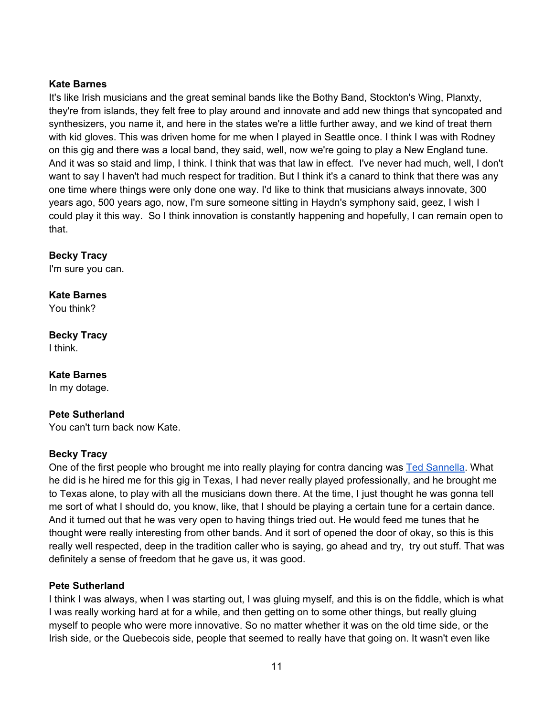# **Kate Barnes**

It's like Irish musicians and the great seminal bands like the Bothy Band, Stockton's Wing, Planxty, they're from islands, they felt free to play around and innovate and add new things that syncopated and synthesizers, you name it, and here in the states we're a little further away, and we kind of treat them with kid gloves. This was driven home for me when I played in Seattle once. I think I was with Rodney on this gig and there was a local band, they said, well, now we're going to play a New England tune. And it was so staid and limp, I think. I think that was that law in effect. I've never had much, well, I don't want to say I haven't had much respect for tradition. But I think it's a canard to think that there was any one time where things were only done one way. I'd like to think that musicians always innovate, 300 years ago, 500 years ago, now, I'm sure someone sitting in Haydn's symphony said, geez, I wish I could play it this way. So I think innovation is constantly happening and hopefully, I can remain open to that.

# **Becky Tracy**

I'm sure you can.

# **Kate Barnes**

You think?

# **Becky Tracy**

I think.

# **Kate Barnes**

In my dotage.

## **Pete Sutherland**

You can't turn back now Kate.

## **Becky Tracy**

One of the first people who brought me into really playing for contra dancing was Ted Sannella. What he did is he hired me for this gig in Texas, I had never really played professionally, and he brought me to Texas alone, to play with all the musicians down there. At the time, I just thought he was gonna tell me sort of what I should do, you know, like, that I should be playing a certain tune for a certain dance. And it turned out that he was very open to having things tried out. He would feed me tunes that he thought were really interesting from other bands. And it sort of opened the door of okay, so this is this really well respected, deep in the tradition caller who is saying, go ahead and try, try out stuff. That was definitely a sense of freedom that he gave us, it was good.

## **Pete Sutherland**

I think I was always, when I was starting out, I was gluing myself, and this is on the fiddle, which is what I was really working hard at for a while, and then getting on to some other things, but really gluing myself to people who were more innovative. So no matter whether it was on the old time side, or the Irish side, or the Quebecois side, people that seemed to really have that going on. It wasn't even like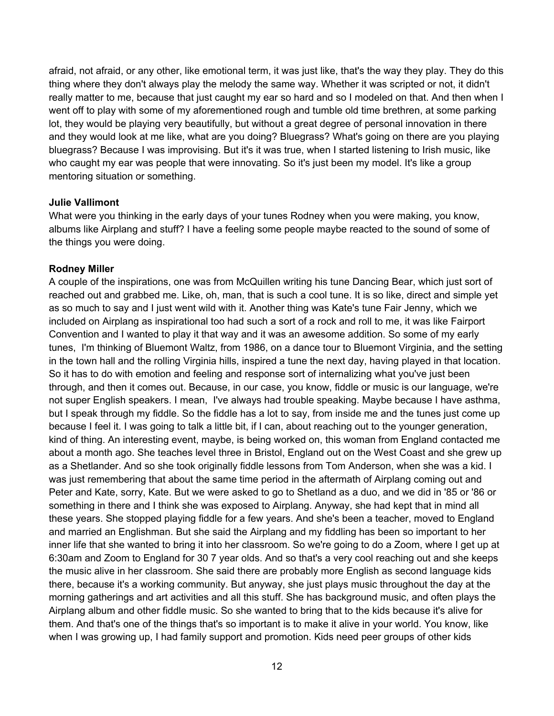afraid, not afraid, or any other, like emotional term, it was just like, that's the way they play. They do this thing where they don't always play the melody the same way. Whether it was scripted or not, it didn't really matter to me, because that just caught my ear so hard and so I modeled on that. And then when I went off to play with some of my aforementioned rough and tumble old time brethren, at some parking lot, they would be playing very beautifully, but without a great degree of personal innovation in there and they would look at me like, what are you doing? Bluegrass? What's going on there are you playing bluegrass? Because I was improvising. But it's it was true, when I started listening to Irish music, like who caught my ear was people that were innovating. So it's just been my model. It's like a group mentoring situation or something.

#### **Julie Vallimont**

What were you thinking in the early days of your tunes Rodney when you were making, you know, albums like Airplang and stuff? I have a feeling some people maybe reacted to the sound of some of the things you were doing.

#### **Rodney Miller**

A couple of the inspirations, one was from McQuillen writing his tune Dancing Bear, which just sort of reached out and grabbed me. Like, oh, man, that is such a cool tune. It is so like, direct and simple yet as so much to say and I just went wild with it. Another thing was Kate's tune Fair Jenny, which we included on Airplang as inspirational too had such a sort of a rock and roll to me, it was like Fairport Convention and I wanted to play it that way and it was an awesome addition. So some of my early tunes, I'm thinking of Bluemont Waltz, from 1986, on a dance tour to Bluemont Virginia, and the setting in the town hall and the rolling Virginia hills, inspired a tune the next day, having played in that location. So it has to do with emotion and feeling and response sort of internalizing what you've just been through, and then it comes out. Because, in our case, you know, fiddle or music is our language, we're not super English speakers. I mean, I've always had trouble speaking. Maybe because I have asthma, but I speak through my fiddle. So the fiddle has a lot to say, from inside me and the tunes just come up because I feel it. I was going to talk a little bit, if I can, about reaching out to the younger generation, kind of thing. An interesting event, maybe, is being worked on, this woman from England contacted me about a month ago. She teaches level three in Bristol, England out on the West Coast and she grew up as a Shetlander. And so she took originally fiddle lessons from Tom Anderson, when she was a kid. I was just remembering that about the same time period in the aftermath of Airplang coming out and Peter and Kate, sorry, Kate. But we were asked to go to Shetland as a duo, and we did in '85 or '86 or something in there and I think she was exposed to Airplang. Anyway, she had kept that in mind all these years. She stopped playing fiddle for a few years. And she's been a teacher, moved to England and married an Englishman. But she said the Airplang and my fiddling has been so important to her inner life that she wanted to bring it into her classroom. So we're going to do a Zoom, where I get up at 6:30am and Zoom to England for 30 7 year olds. And so that's a very cool reaching out and she keeps the music alive in her classroom. She said there are probably more English as second language kids there, because it's a working community. But anyway, she just plays music throughout the day at the morning gatherings and art activities and all this stuff. She has background music, and often plays the Airplang album and other fiddle music. So she wanted to bring that to the kids because it's alive for them. And that's one of the things that's so important is to make it alive in your world. You know, like when I was growing up, I had family support and promotion. Kids need peer groups of other kids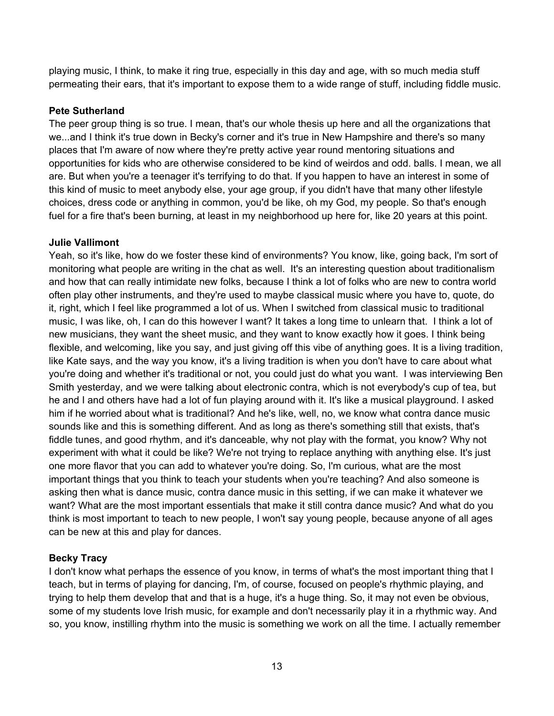playing music, I think, to make it ring true, especially in this day and age, with so much media stuff permeating their ears, that it's important to expose them to a wide range of stuff, including fiddle music.

# **Pete Sutherland**

The peer group thing is so true. I mean, that's our whole thesis up here and all the organizations that we...and I think it's true down in Becky's corner and it's true in New Hampshire and there's so many places that I'm aware of now where they're pretty active year round mentoring situations and opportunities for kids who are otherwise considered to be kind of weirdos and odd. balls. I mean, we all are. But when you're a teenager it's terrifying to do that. If you happen to have an interest in some of this kind of music to meet anybody else, your age group, if you didn't have that many other lifestyle choices, dress code or anything in common, you'd be like, oh my God, my people. So that's enough fuel for a fire that's been burning, at least in my neighborhood up here for, like 20 years at this point.

## **Julie Vallimont**

Yeah, so it's like, how do we foster these kind of environments? You know, like, going back, I'm sort of monitoring what people are writing in the chat as well. It's an interesting question about traditionalism and how that can really intimidate new folks, because I think a lot of folks who are new to contra world often play other instruments, and they're used to maybe classical music where you have to, quote, do it, right, which I feel like programmed a lot of us. When I switched from classical music to traditional music, I was like, oh, I can do this however I want? It takes a long time to unlearn that. I think a lot of new musicians, they want the sheet music, and they want to know exactly how it goes. I think being flexible, and welcoming, like you say, and just giving off this vibe of anything goes. It is a living tradition, like Kate says, and the way you know, it's a living tradition is when you don't have to care about what you're doing and whether it's traditional or not, you could just do what you want. I was interviewing Ben Smith yesterday, and we were talking about electronic contra, which is not everybody's cup of tea, but he and I and others have had a lot of fun playing around with it. It's like a musical playground. I asked him if he worried about what is traditional? And he's like, well, no, we know what contra dance music sounds like and this is something different. And as long as there's something still that exists, that's fiddle tunes, and good rhythm, and it's danceable, why not play with the format, you know? Why not experiment with what it could be like? We're not trying to replace anything with anything else. It's just one more flavor that you can add to whatever you're doing. So, I'm curious, what are the most important things that you think to teach your students when you're teaching? And also someone is asking then what is dance music, contra dance music in this setting, if we can make it whatever we want? What are the most important essentials that make it still contra dance music? And what do you think is most important to teach to new people, I won't say young people, because anyone of all ages can be new at this and play for dances.

# **Becky Tracy**

I don't know what perhaps the essence of you know, in terms of what's the most important thing that I teach, but in terms of playing for dancing, I'm, of course, focused on people's rhythmic playing, and trying to help them develop that and that is a huge, it's a huge thing. So, it may not even be obvious, some of my students love Irish music, for example and don't necessarily play it in a rhythmic way. And so, you know, instilling rhythm into the music is something we work on all the time. I actually remember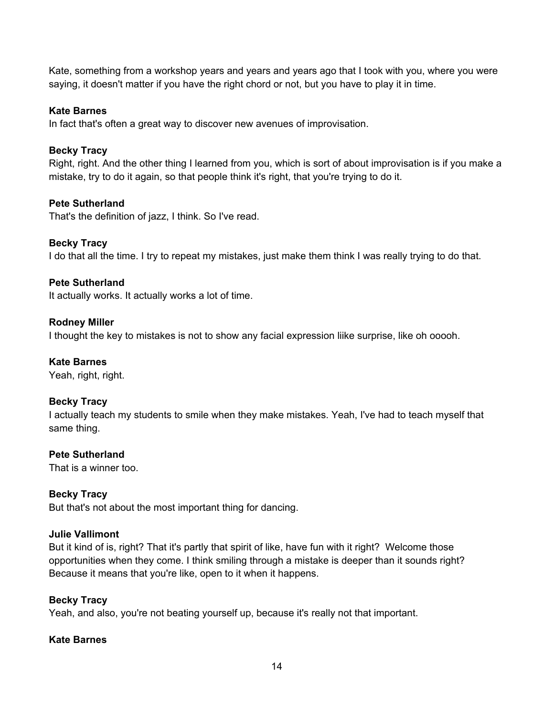Kate, something from a workshop years and years and years ago that I took with you, where you were saying, it doesn't matter if you have the right chord or not, but you have to play it in time.

# **Kate Barnes**

In fact that's often a great way to discover new avenues of improvisation.

# **Becky Tracy**

Right, right. And the other thing I learned from you, which is sort of about improvisation is if you make a mistake, try to do it again, so that people think it's right, that you're trying to do it.

# **Pete Sutherland**

That's the definition of jazz, I think. So I've read.

# **Becky Tracy**

I do that all the time. I try to repeat my mistakes, just make them think I was really trying to do that.

# **Pete Sutherland**

It actually works. It actually works a lot of time.

## **Rodney Miller**

I thought the key to mistakes is not to show any facial expression liike surprise, like oh ooooh.

## **Kate Barnes**

Yeah, right, right.

## **Becky Tracy**

I actually teach my students to smile when they make mistakes. Yeah, I've had to teach myself that same thing.

## **Pete Sutherland**

That is a winner too.

# **Becky Tracy**

But that's not about the most important thing for dancing.

## **Julie Vallimont**

But it kind of is, right? That it's partly that spirit of like, have fun with it right? Welcome those opportunities when they come. I think smiling through a mistake is deeper than it sounds right? Because it means that you're like, open to it when it happens.

## **Becky Tracy**

Yeah, and also, you're not beating yourself up, because it's really not that important.

## **Kate Barnes**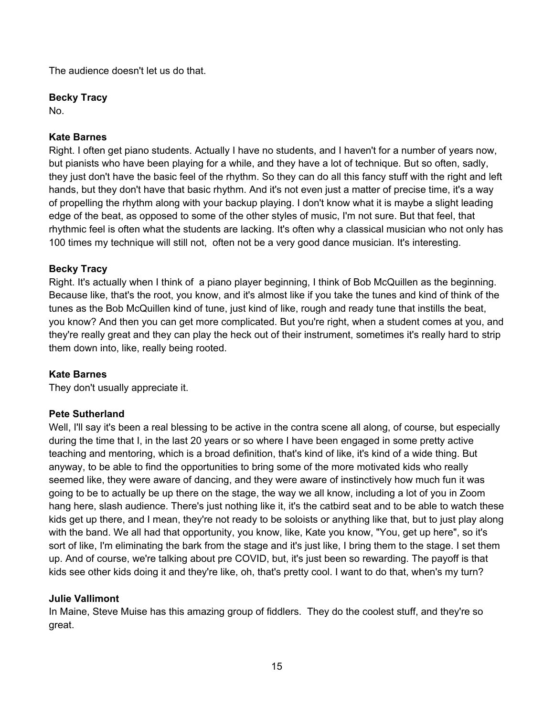The audience doesn't let us do that.

## **Becky Tracy**

No.

# **Kate Barnes**

Right. I often get piano students. Actually I have no students, and I haven't for a number of years now, but pianists who have been playing for a while, and they have a lot of technique. But so often, sadly, they just don't have the basic feel of the rhythm. So they can do all this fancy stuff with the right and left hands, but they don't have that basic rhythm. And it's not even just a matter of precise time, it's a way of propelling the rhythm along with your backup playing. I don't know what it is maybe a slight leading edge of the beat, as opposed to some of the other styles of music, I'm not sure. But that feel, that rhythmic feel is often what the students are lacking. It's often why a classical musician who not only has 100 times my technique will still not, often not be a very good dance musician. It's interesting.

## **Becky Tracy**

Right. It's actually when I think of a piano player beginning, I think of Bob McQuillen as the beginning. Because like, that's the root, you know, and it's almost like if you take the tunes and kind of think of the tunes as the Bob McQuillen kind of tune, just kind of like, rough and ready tune that instills the beat, you know? And then you can get more complicated. But you're right, when a student comes at you, and they're really great and they can play the heck out of their instrument, sometimes it's really hard to strip them down into, like, really being rooted.

## **Kate Barnes**

They don't usually appreciate it.

## **Pete Sutherland**

Well, I'll say it's been a real blessing to be active in the contra scene all along, of course, but especially during the time that I, in the last 20 years or so where I have been engaged in some pretty active teaching and mentoring, which is a broad definition, that's kind of like, it's kind of a wide thing. But anyway, to be able to find the opportunities to bring some of the more motivated kids who really seemed like, they were aware of dancing, and they were aware of instinctively how much fun it was going to be to actually be up there on the stage, the way we all know, including a lot of you in Zoom hang here, slash audience. There's just nothing like it, it's the catbird seat and to be able to watch these kids get up there, and I mean, they're not ready to be soloists or anything like that, but to just play along with the band. We all had that opportunity, you know, like, Kate you know, "You, get up here", so it's sort of like, I'm eliminating the bark from the stage and it's just like, I bring them to the stage. I set them up. And of course, we're talking about pre COVID, but, it's just been so rewarding. The payoff is that kids see other kids doing it and they're like, oh, that's pretty cool. I want to do that, when's my turn?

## **Julie Vallimont**

In Maine, Steve Muise has this amazing group of fiddlers. They do the coolest stuff, and they're so great.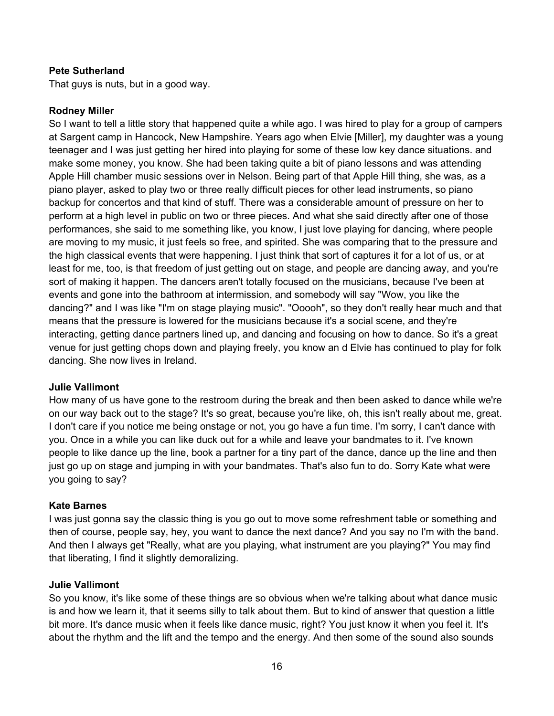# **Pete Sutherland**

That guys is nuts, but in a good way.

## **Rodney Miller**

So I want to tell a little story that happened quite a while ago. I was hired to play for a group of campers at Sargent camp in Hancock, New Hampshire. Years ago when Elvie [Miller], my daughter was a young teenager and I was just getting her hired into playing for some of these low key dance situations. and make some money, you know. She had been taking quite a bit of piano lessons and was attending Apple Hill chamber music sessions over in Nelson. Being part of that Apple Hill thing, she was, as a piano player, asked to play two or three really difficult pieces for other lead instruments, so piano backup for concertos and that kind of stuff. There was a considerable amount of pressure on her to perform at a high level in public on two or three pieces. And what she said directly after one of those performances, she said to me something like, you know, I just love playing for dancing, where people are moving to my music, it just feels so free, and spirited. She was comparing that to the pressure and the high classical events that were happening. I just think that sort of captures it for a lot of us, or at least for me, too, is that freedom of just getting out on stage, and people are dancing away, and you're sort of making it happen. The dancers aren't totally focused on the musicians, because I've been at events and gone into the bathroom at intermission, and somebody will say "Wow, you like the dancing?" and I was like "I'm on stage playing music". "Ooooh", so they don't really hear much and that means that the pressure is lowered for the musicians because it's a social scene, and they're interacting, getting dance partners lined up, and dancing and focusing on how to dance. So it's a great venue for just getting chops down and playing freely, you know an d Elvie has continued to play for folk dancing. She now lives in Ireland.

#### **Julie Vallimont**

How many of us have gone to the restroom during the break and then been asked to dance while we're on our way back out to the stage? It's so great, because you're like, oh, this isn't really about me, great. I don't care if you notice me being onstage or not, you go have a fun time. I'm sorry, I can't dance with you. Once in a while you can like duck out for a while and leave your bandmates to it. I've known people to like dance up the line, book a partner for a tiny part of the dance, dance up the line and then just go up on stage and jumping in with your bandmates. That's also fun to do. Sorry Kate what were you going to say?

#### **Kate Barnes**

I was just gonna say the classic thing is you go out to move some refreshment table or something and then of course, people say, hey, you want to dance the next dance? And you say no I'm with the band. And then I always get "Really, what are you playing, what instrument are you playing?" You may find that liberating, I find it slightly demoralizing.

#### **Julie Vallimont**

So you know, it's like some of these things are so obvious when we're talking about what dance music is and how we learn it, that it seems silly to talk about them. But to kind of answer that question a little bit more. It's dance music when it feels like dance music, right? You just know it when you feel it. It's about the rhythm and the lift and the tempo and the energy. And then some of the sound also sounds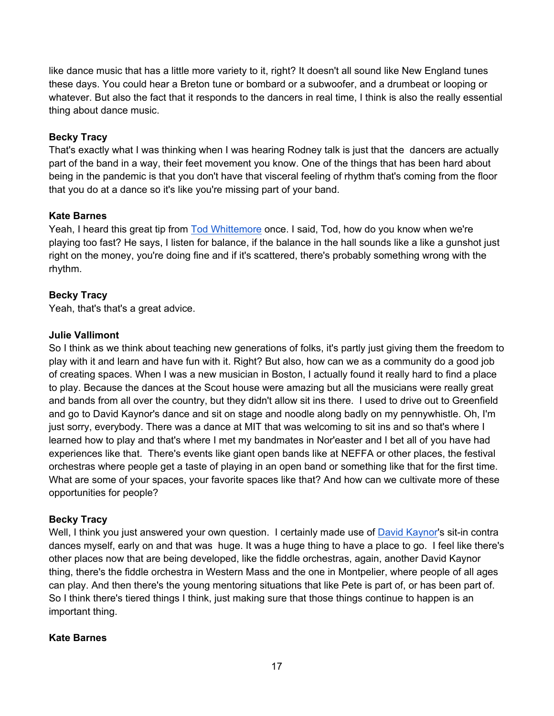like dance music that has a little more variety to it, right? It doesn't all sound like New England tunes these days. You could hear a Breton tune or bombard or a subwoofer, and a drumbeat or looping or whatever. But also the fact that it responds to the dancers in real time, I think is also the really essential thing about dance music.

# **Becky Tracy**

That's exactly what I was thinking when I was hearing Rodney talk is just that the dancers are actually part of the band in a way, their feet movement you know. One of the things that has been hard about being in the pandemic is that you don't have that visceral feeling of rhythm that's coming from the floor that you do at a dance so it's like you're missing part of your band.

# **Kate Barnes**

Yeah, I heard this great tip from Tod Whittemore once. I said, Tod, how do you know when we're playing too fast? He says, I listen for balance, if the balance in the hall sounds like a like a gunshot just right on the money, you're doing fine and if it's scattered, there's probably something wrong with the rhythm.

# **Becky Tracy**

Yeah, that's that's a great advice.

## **Julie Vallimont**

So I think as we think about teaching new generations of folks, it's partly just giving them the freedom to play with it and learn and have fun with it. Right? But also, how can we as a community do a good job of creating spaces. When I was a new musician in Boston, I actually found it really hard to find a place to play. Because the dances at the Scout house were amazing but all the musicians were really great and bands from all over the country, but they didn't allow sit ins there. I used to drive out to Greenfield and go to David Kaynor's dance and sit on stage and noodle along badly on my pennywhistle. Oh, I'm just sorry, everybody. There was a dance at MIT that was welcoming to sit ins and so that's where I learned how to play and that's where I met my bandmates in Nor'easter and I bet all of you have had experiences like that. There's events like giant open bands like at NEFFA or other places, the festival orchestras where people get a taste of playing in an open band or something like that for the first time. What are some of your spaces, your favorite spaces like that? And how can we cultivate more of these opportunities for people?

## **Becky Tracy**

Well, I think you just answered your own question. I certainly made use of David Kaynor's sit-in contra dances myself, early on and that was huge. It was a huge thing to have a place to go. I feel like there's other places now that are being developed, like the fiddle orchestras, again, another David Kaynor thing, there's the fiddle orchestra in Western Mass and the one in Montpelier, where people of all ages can play. And then there's the young mentoring situations that like Pete is part of, or has been part of. So I think there's tiered things I think, just making sure that those things continue to happen is an important thing.

## **Kate Barnes**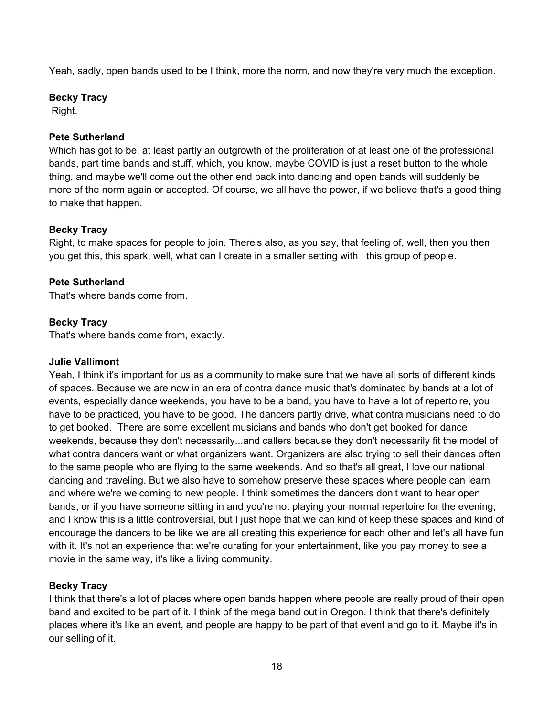Yeah, sadly, open bands used to be I think, more the norm, and now they're very much the exception.

# **Becky Tracy**

Right.

# **Pete Sutherland**

Which has got to be, at least partly an outgrowth of the proliferation of at least one of the professional bands, part time bands and stuff, which, you know, maybe COVID is just a reset button to the whole thing, and maybe we'll come out the other end back into dancing and open bands will suddenly be more of the norm again or accepted. Of course, we all have the power, if we believe that's a good thing to make that happen.

# **Becky Tracy**

Right, to make spaces for people to join. There's also, as you say, that feeling of, well, then you then you get this, this spark, well, what can I create in a smaller setting with this group of people.

# **Pete Sutherland**

That's where bands come from.

# **Becky Tracy**

That's where bands come from, exactly.

# **Julie Vallimont**

Yeah, I think it's important for us as a community to make sure that we have all sorts of different kinds of spaces. Because we are now in an era of contra dance music that's dominated by bands at a lot of events, especially dance weekends, you have to be a band, you have to have a lot of repertoire, you have to be practiced, you have to be good. The dancers partly drive, what contra musicians need to do to get booked. There are some excellent musicians and bands who don't get booked for dance weekends, because they don't necessarily...and callers because they don't necessarily fit the model of what contra dancers want or what organizers want. Organizers are also trying to sell their dances often to the same people who are flying to the same weekends. And so that's all great, I love our national dancing and traveling. But we also have to somehow preserve these spaces where people can learn and where we're welcoming to new people. I think sometimes the dancers don't want to hear open bands, or if you have someone sitting in and you're not playing your normal repertoire for the evening, and I know this is a little controversial, but I just hope that we can kind of keep these spaces and kind of encourage the dancers to be like we are all creating this experience for each other and let's all have fun with it. It's not an experience that we're curating for your entertainment, like you pay money to see a movie in the same way, it's like a living community.

# **Becky Tracy**

I think that there's a lot of places where open bands happen where people are really proud of their open band and excited to be part of it. I think of the mega band out in Oregon. I think that there's definitely places where it's like an event, and people are happy to be part of that event and go to it. Maybe it's in our selling of it.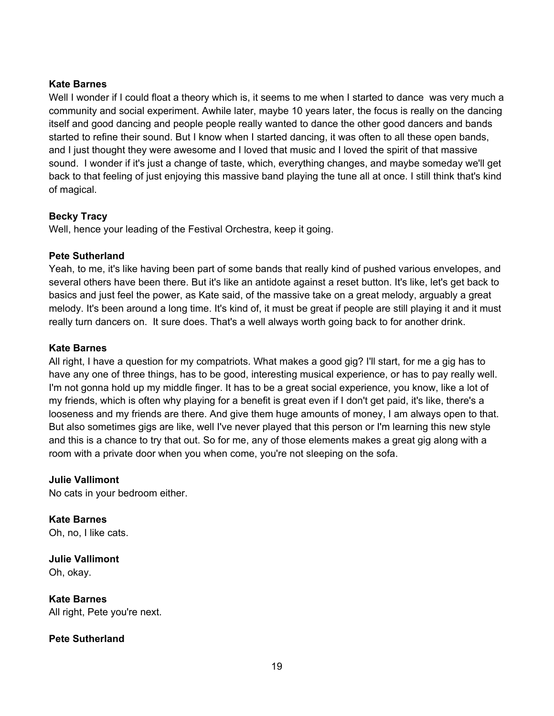# **Kate Barnes**

Well I wonder if I could float a theory which is, it seems to me when I started to dance was very much a community and social experiment. Awhile later, maybe 10 years later, the focus is really on the dancing itself and good dancing and people people really wanted to dance the other good dancers and bands started to refine their sound. But I know when I started dancing, it was often to all these open bands, and I just thought they were awesome and I loved that music and I loved the spirit of that massive sound. I wonder if it's just a change of taste, which, everything changes, and maybe someday we'll get back to that feeling of just enjoying this massive band playing the tune all at once. I still think that's kind of magical.

# **Becky Tracy**

Well, hence your leading of the Festival Orchestra, keep it going.

# **Pete Sutherland**

Yeah, to me, it's like having been part of some bands that really kind of pushed various envelopes, and several others have been there. But it's like an antidote against a reset button. It's like, let's get back to basics and just feel the power, as Kate said, of the massive take on a great melody, arguably a great melody. It's been around a long time. It's kind of, it must be great if people are still playing it and it must really turn dancers on. It sure does. That's a well always worth going back to for another drink.

# **Kate Barnes**

All right, I have a question for my compatriots. What makes a good gig? I'll start, for me a gig has to have any one of three things, has to be good, interesting musical experience, or has to pay really well. I'm not gonna hold up my middle finger. It has to be a great social experience, you know, like a lot of my friends, which is often why playing for a benefit is great even if I don't get paid, it's like, there's a looseness and my friends are there. And give them huge amounts of money, I am always open to that. But also sometimes gigs are like, well I've never played that this person or I'm learning this new style and this is a chance to try that out. So for me, any of those elements makes a great gig along with a room with a private door when you when come, you're not sleeping on the sofa.

## **Julie Vallimont**

No cats in your bedroom either.

**Kate Barnes**  Oh, no, I like cats.

**Julie Vallimont**  Oh, okay.

**Kate Barnes**  All right, Pete you're next.

## **Pete Sutherland**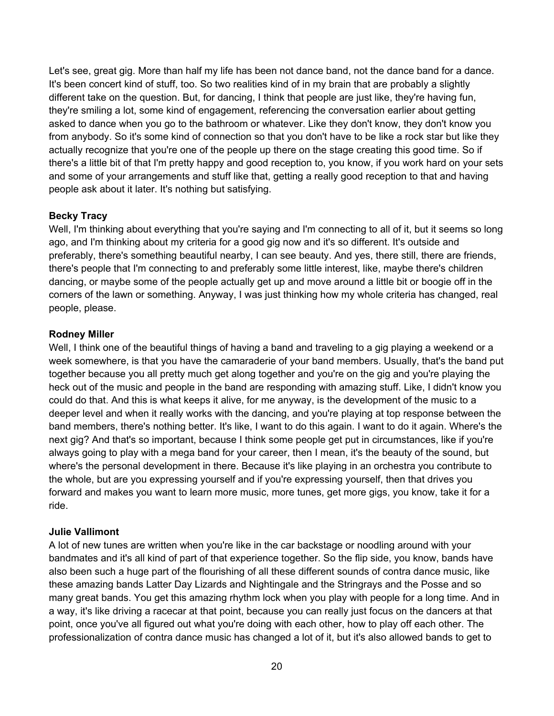Let's see, great gig. More than half my life has been not dance band, not the dance band for a dance. It's been concert kind of stuff, too. So two realities kind of in my brain that are probably a slightly different take on the question. But, for dancing, I think that people are just like, they're having fun, they're smiling a lot, some kind of engagement, referencing the conversation earlier about getting asked to dance when you go to the bathroom or whatever. Like they don't know, they don't know you from anybody. So it's some kind of connection so that you don't have to be like a rock star but like they actually recognize that you're one of the people up there on the stage creating this good time. So if there's a little bit of that I'm pretty happy and good reception to, you know, if you work hard on your sets and some of your arrangements and stuff like that, getting a really good reception to that and having people ask about it later. It's nothing but satisfying.

## **Becky Tracy**

Well, I'm thinking about everything that you're saying and I'm connecting to all of it, but it seems so long ago, and I'm thinking about my criteria for a good gig now and it's so different. It's outside and preferably, there's something beautiful nearby, I can see beauty. And yes, there still, there are friends, there's people that I'm connecting to and preferably some little interest, like, maybe there's children dancing, or maybe some of the people actually get up and move around a little bit or boogie off in the corners of the lawn or something. Anyway, I was just thinking how my whole criteria has changed, real people, please.

#### **Rodney Miller**

Well, I think one of the beautiful things of having a band and traveling to a gig playing a weekend or a week somewhere, is that you have the camaraderie of your band members. Usually, that's the band put together because you all pretty much get along together and you're on the gig and you're playing the heck out of the music and people in the band are responding with amazing stuff. Like, I didn't know you could do that. And this is what keeps it alive, for me anyway, is the development of the music to a deeper level and when it really works with the dancing, and you're playing at top response between the band members, there's nothing better. It's like, I want to do this again. I want to do it again. Where's the next gig? And that's so important, because I think some people get put in circumstances, like if you're always going to play with a mega band for your career, then I mean, it's the beauty of the sound, but where's the personal development in there. Because it's like playing in an orchestra you contribute to the whole, but are you expressing yourself and if you're expressing yourself, then that drives you forward and makes you want to learn more music, more tunes, get more gigs, you know, take it for a ride.

#### **Julie Vallimont**

A lot of new tunes are written when you're like in the car backstage or noodling around with your bandmates and it's all kind of part of that experience together. So the flip side, you know, bands have also been such a huge part of the flourishing of all these different sounds of contra dance music, like these amazing bands Latter Day Lizards and Nightingale and the Stringrays and the Posse and so many great bands. You get this amazing rhythm lock when you play with people for a long time. And in a way, it's like driving a racecar at that point, because you can really just focus on the dancers at that point, once you've all figured out what you're doing with each other, how to play off each other. The professionalization of contra dance music has changed a lot of it, but it's also allowed bands to get to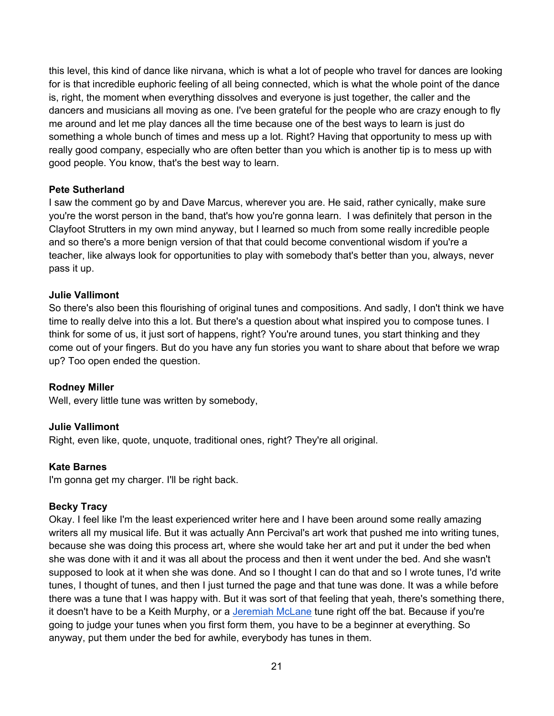this level, this kind of dance like nirvana, which is what a lot of people who travel for dances are looking for is that incredible euphoric feeling of all being connected, which is what the whole point of the dance is, right, the moment when everything dissolves and everyone is just together, the caller and the dancers and musicians all moving as one. I've been grateful for the people who are crazy enough to fly me around and let me play dances all the time because one of the best ways to learn is just do something a whole bunch of times and mess up a lot. Right? Having that opportunity to mess up with really good company, especially who are often better than you which is another tip is to mess up with good people. You know, that's the best way to learn.

## **Pete Sutherland**

I saw the comment go by and Dave Marcus, wherever you are. He said, rather cynically, make sure you're the worst person in the band, that's how you're gonna learn. I was definitely that person in the Clayfoot Strutters in my own mind anyway, but I learned so much from some really incredible people and so there's a more benign version of that that could become conventional wisdom if you're a teacher, like always look for opportunities to play with somebody that's better than you, always, never pass it up.

# **Julie Vallimont**

So there's also been this flourishing of original tunes and compositions. And sadly, I don't think we have time to really delve into this a lot. But there's a question about what inspired you to compose tunes. I think for some of us, it just sort of happens, right? You're around tunes, you start thinking and they come out of your fingers. But do you have any fun stories you want to share about that before we wrap up? Too open ended the question.

## **Rodney Miller**

Well, every little tune was written by somebody,

## **Julie Vallimont**

Right, even like, quote, unquote, traditional ones, right? They're all original.

## **Kate Barnes**

I'm gonna get my charger. I'll be right back.

## **Becky Tracy**

Okay. I feel like I'm the least experienced writer here and I have been around some really amazing writers all my musical life. But it was actually Ann Percival's art work that pushed me into writing tunes, because she was doing this process art, where she would take her art and put it under the bed when she was done with it and it was all about the process and then it went under the bed. And she wasn't supposed to look at it when she was done. And so I thought I can do that and so I wrote tunes, I'd write tunes, I thought of tunes, and then I just turned the page and that tune was done. It was a while before there was a tune that I was happy with. But it was sort of that feeling that yeah, there's something there, it doesn't have to be a Keith Murphy, or a Jeremiah McLane tune right off the bat. Because if you're going to judge your tunes when you first form them, you have to be a beginner at everything. So anyway, put them under the bed for awhile, everybody has tunes in them.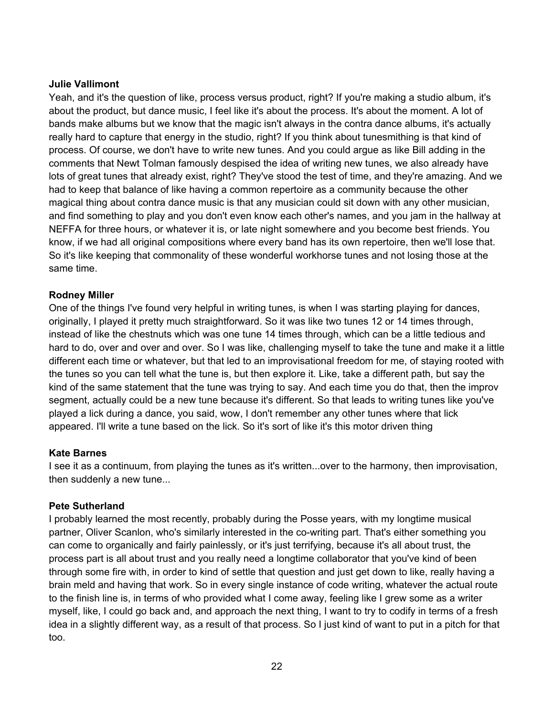## **Julie Vallimont**

Yeah, and it's the question of like, process versus product, right? If you're making a studio album, it's about the product, but dance music, I feel like it's about the process. It's about the moment. A lot of bands make albums but we know that the magic isn't always in the contra dance albums, it's actually really hard to capture that energy in the studio, right? If you think about tunesmithing is that kind of process. Of course, we don't have to write new tunes. And you could argue as like Bill adding in the comments that Newt Tolman famously despised the idea of writing new tunes, we also already have lots of great tunes that already exist, right? They've stood the test of time, and they're amazing. And we had to keep that balance of like having a common repertoire as a community because the other magical thing about contra dance music is that any musician could sit down with any other musician, and find something to play and you don't even know each other's names, and you jam in the hallway at NEFFA for three hours, or whatever it is, or late night somewhere and you become best friends. You know, if we had all original compositions where every band has its own repertoire, then we'll lose that. So it's like keeping that commonality of these wonderful workhorse tunes and not losing those at the same time.

#### **Rodney Miller**

One of the things I've found very helpful in writing tunes, is when I was starting playing for dances, originally, I played it pretty much straightforward. So it was like two tunes 12 or 14 times through, instead of like the chestnuts which was one tune 14 times through, which can be a little tedious and hard to do, over and over and over. So I was like, challenging myself to take the tune and make it a little different each time or whatever, but that led to an improvisational freedom for me, of staying rooted with the tunes so you can tell what the tune is, but then explore it. Like, take a different path, but say the kind of the same statement that the tune was trying to say. And each time you do that, then the improv segment, actually could be a new tune because it's different. So that leads to writing tunes like you've played a lick during a dance, you said, wow, I don't remember any other tunes where that lick appeared. I'll write a tune based on the lick. So it's sort of like it's this motor driven thing

#### **Kate Barnes**

I see it as a continuum, from playing the tunes as it's written...over to the harmony, then improvisation, then suddenly a new tune...

#### **Pete Sutherland**

I probably learned the most recently, probably during the Posse years, with my longtime musical partner, Oliver Scanlon, who's similarly interested in the co-writing part. That's either something you can come to organically and fairly painlessly, or it's just terrifying, because it's all about trust, the process part is all about trust and you really need a longtime collaborator that you've kind of been through some fire with, in order to kind of settle that question and just get down to like, really having a brain meld and having that work. So in every single instance of code writing, whatever the actual route to the finish line is, in terms of who provided what I come away, feeling like I grew some as a writer myself, like, I could go back and, and approach the next thing, I want to try to codify in terms of a fresh idea in a slightly different way, as a result of that process. So I just kind of want to put in a pitch for that too.